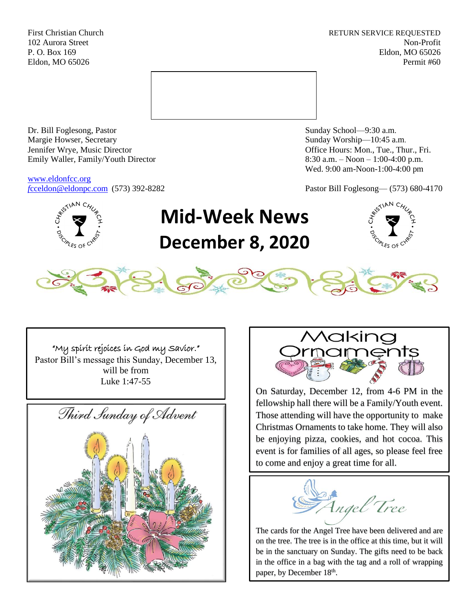First Christian Church **RETURN SERVICE REQUESTED** 102 Aurora Street Non-Profit P. O. Box 169 Eldon, MO 65026 Eldon, MO 65026 Permit #60



Dr. Bill Foglesong, Pastor Sunday School—9:30 a.m. Margie Howser, Secretary Sunday Worship—10:45 a.m. Jennifer Wrye, Music Director Office Hours: Mon., Tue., Thur., Fri. Emily Waller, Family/Youth Director 8:30 a.m. – Noon – 1:00-4:00 p.m.

[www.eldonfcc.org](http://www.eldonfcc.org/)

Wed. 9:00 am-Noon-1:00-4:00 pm

*f*[cceldon@eldonpc.com](mailto:fcceldon@eldonpc.com) (573) 392-8282 Pastor Bill Foglesong— (573) 680-4170



# **Mid-Week News December 8, 2020**





"My spirit rejoices in God my Savior."

Pastor Bill's message this Sunday, December 13, will be from Luke 1:47-55





On Saturday, December 12, from 4-6 PM in the fellowship hall there will be a Family/Youth event. Those attending will have the opportunity to make Christmas Ornaments to take home. They will also be enjoying pizza, cookies, and hot cocoa. This event is for families of all ages, so please feel free to come and enjoy a great time for all.

*Angel Tree* 

The cards for the Angel Tree have been delivered and are on the tree. The tree is in the office at this time, but it will be in the sanctuary on Sunday. The gifts need to be back in the office in a bag with the tag and a roll of wrapping paper, by December 18<sup>th</sup>.